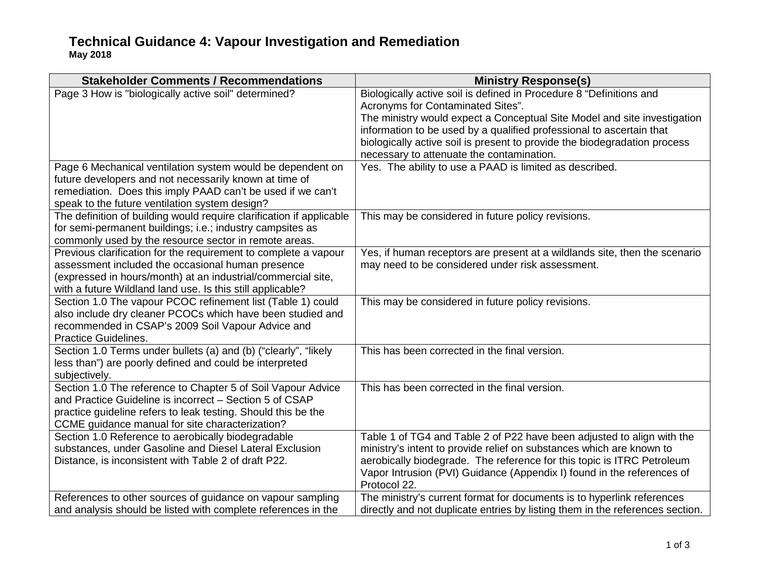## **Technical Guidance 4: Vapour Investigation and Remediation May 2018**

| <b>Stakeholder Comments / Recommendations</b>                                                                              | <b>Ministry Response(s)</b>                                                                              |
|----------------------------------------------------------------------------------------------------------------------------|----------------------------------------------------------------------------------------------------------|
| Page 3 How is "biologically active soil" determined?                                                                       | Biologically active soil is defined in Procedure 8 "Definitions and<br>Acronyms for Contaminated Sites". |
|                                                                                                                            | The ministry would expect a Conceptual Site Model and site investigation                                 |
|                                                                                                                            | information to be used by a qualified professional to ascertain that                                     |
|                                                                                                                            | biologically active soil is present to provide the biodegradation process                                |
|                                                                                                                            | necessary to attenuate the contamination.                                                                |
| Page 6 Mechanical ventilation system would be dependent on                                                                 | Yes. The ability to use a PAAD is limited as described.                                                  |
| future developers and not necessarily known at time of                                                                     |                                                                                                          |
| remediation. Does this imply PAAD can't be used if we can't                                                                |                                                                                                          |
| speak to the future ventilation system design?                                                                             |                                                                                                          |
| The definition of building would require clarification if applicable                                                       | This may be considered in future policy revisions.                                                       |
| for semi-permanent buildings; i.e.; industry campsites as                                                                  |                                                                                                          |
| commonly used by the resource sector in remote areas.                                                                      |                                                                                                          |
| Previous clarification for the requirement to complete a vapour                                                            | Yes, if human receptors are present at a wildlands site, then the scenario                               |
| assessment included the occasional human presence                                                                          | may need to be considered under risk assessment.                                                         |
| (expressed in hours/month) at an industrial/commercial site,<br>with a future Wildland land use. Is this still applicable? |                                                                                                          |
| Section 1.0 The vapour PCOC refinement list (Table 1) could                                                                | This may be considered in future policy revisions.                                                       |
| also include dry cleaner PCOCs which have been studied and                                                                 |                                                                                                          |
| recommended in CSAP's 2009 Soil Vapour Advice and                                                                          |                                                                                                          |
| <b>Practice Guidelines.</b>                                                                                                |                                                                                                          |
| Section 1.0 Terms under bullets (a) and (b) ("clearly", "likely                                                            | This has been corrected in the final version.                                                            |
| less than") are poorly defined and could be interpreted                                                                    |                                                                                                          |
| subjectively.                                                                                                              |                                                                                                          |
| Section 1.0 The reference to Chapter 5 of Soil Vapour Advice                                                               | This has been corrected in the final version.                                                            |
| and Practice Guideline is incorrect - Section 5 of CSAP                                                                    |                                                                                                          |
| practice guideline refers to leak testing. Should this be the                                                              |                                                                                                          |
| CCME guidance manual for site characterization?                                                                            |                                                                                                          |
| Section 1.0 Reference to aerobically biodegradable                                                                         | Table 1 of TG4 and Table 2 of P22 have been adjusted to align with the                                   |
| substances, under Gasoline and Diesel Lateral Exclusion                                                                    | ministry's intent to provide relief on substances which are known to                                     |
| Distance, is inconsistent with Table 2 of draft P22.                                                                       | aerobically biodegrade. The reference for this topic is ITRC Petroleum                                   |
|                                                                                                                            | Vapor Intrusion (PVI) Guidance (Appendix I) found in the references of                                   |
|                                                                                                                            | Protocol 22.                                                                                             |
| References to other sources of guidance on vapour sampling                                                                 | The ministry's current format for documents is to hyperlink references                                   |
| and analysis should be listed with complete references in the                                                              | directly and not duplicate entries by listing them in the references section.                            |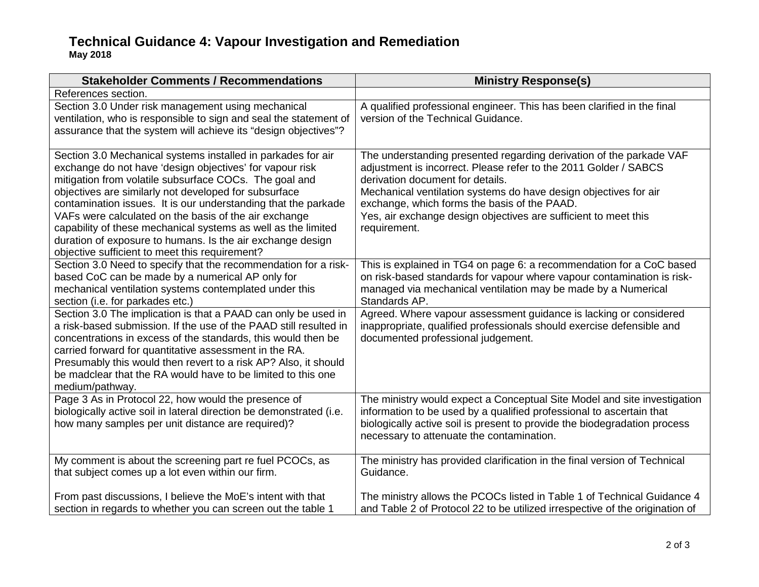## **Technical Guidance 4: Vapour Investigation and Remediation May 2018**

| <b>Stakeholder Comments / Recommendations</b>                                                                                                                                                                                                                                                                                                                                                                                                                                                                                                           | <b>Ministry Response(s)</b>                                                                                                                                                                                                                                                                                                                                                        |
|---------------------------------------------------------------------------------------------------------------------------------------------------------------------------------------------------------------------------------------------------------------------------------------------------------------------------------------------------------------------------------------------------------------------------------------------------------------------------------------------------------------------------------------------------------|------------------------------------------------------------------------------------------------------------------------------------------------------------------------------------------------------------------------------------------------------------------------------------------------------------------------------------------------------------------------------------|
| References section.                                                                                                                                                                                                                                                                                                                                                                                                                                                                                                                                     |                                                                                                                                                                                                                                                                                                                                                                                    |
| Section 3.0 Under risk management using mechanical<br>ventilation, who is responsible to sign and seal the statement of<br>assurance that the system will achieve its "design objectives"?                                                                                                                                                                                                                                                                                                                                                              | A qualified professional engineer. This has been clarified in the final<br>version of the Technical Guidance.                                                                                                                                                                                                                                                                      |
| Section 3.0 Mechanical systems installed in parkades for air<br>exchange do not have 'design objectives' for vapour risk<br>mitigation from volatile subsurface COCs. The goal and<br>objectives are similarly not developed for subsurface<br>contamination issues. It is our understanding that the parkade<br>VAFs were calculated on the basis of the air exchange<br>capability of these mechanical systems as well as the limited<br>duration of exposure to humans. Is the air exchange design<br>objective sufficient to meet this requirement? | The understanding presented regarding derivation of the parkade VAF<br>adjustment is incorrect. Please refer to the 2011 Golder / SABCS<br>derivation document for details.<br>Mechanical ventilation systems do have design objectives for air<br>exchange, which forms the basis of the PAAD.<br>Yes, air exchange design objectives are sufficient to meet this<br>requirement. |
| Section 3.0 Need to specify that the recommendation for a risk-<br>based CoC can be made by a numerical AP only for<br>mechanical ventilation systems contemplated under this<br>section (i.e. for parkades etc.)                                                                                                                                                                                                                                                                                                                                       | This is explained in TG4 on page 6: a recommendation for a CoC based<br>on risk-based standards for vapour where vapour contamination is risk-<br>managed via mechanical ventilation may be made by a Numerical<br>Standards AP.                                                                                                                                                   |
| Section 3.0 The implication is that a PAAD can only be used in<br>a risk-based submission. If the use of the PAAD still resulted in<br>concentrations in excess of the standards, this would then be<br>carried forward for quantitative assessment in the RA.<br>Presumably this would then revert to a risk AP? Also, it should<br>be madclear that the RA would have to be limited to this one<br>medium/pathway.                                                                                                                                    | Agreed. Where vapour assessment guidance is lacking or considered<br>inappropriate, qualified professionals should exercise defensible and<br>documented professional judgement.                                                                                                                                                                                                   |
| Page 3 As in Protocol 22, how would the presence of<br>biologically active soil in lateral direction be demonstrated (i.e.<br>how many samples per unit distance are required)?                                                                                                                                                                                                                                                                                                                                                                         | The ministry would expect a Conceptual Site Model and site investigation<br>information to be used by a qualified professional to ascertain that<br>biologically active soil is present to provide the biodegradation process<br>necessary to attenuate the contamination.                                                                                                         |
| My comment is about the screening part re fuel PCOCs, as<br>that subject comes up a lot even within our firm.                                                                                                                                                                                                                                                                                                                                                                                                                                           | The ministry has provided clarification in the final version of Technical<br>Guidance.                                                                                                                                                                                                                                                                                             |
| From past discussions, I believe the MoE's intent with that<br>section in regards to whether you can screen out the table 1                                                                                                                                                                                                                                                                                                                                                                                                                             | The ministry allows the PCOCs listed in Table 1 of Technical Guidance 4<br>and Table 2 of Protocol 22 to be utilized irrespective of the origination of                                                                                                                                                                                                                            |